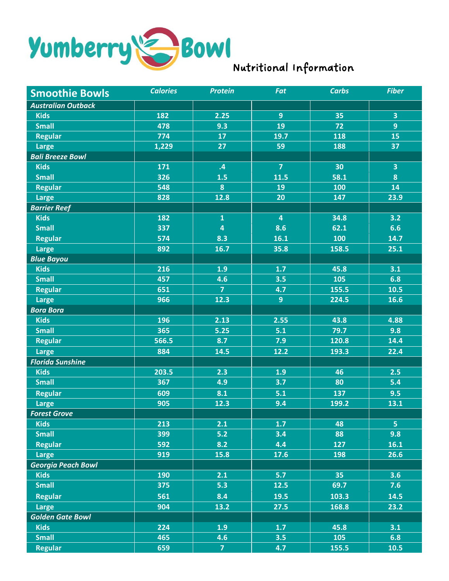

| <b>Smoothie Bowls</b>     | <b>Calories</b> | <b>Protein</b>          | Fat            | <b>Carbs</b> | <b>Fiber</b>            |
|---------------------------|-----------------|-------------------------|----------------|--------------|-------------------------|
| <b>Australian Outback</b> |                 |                         |                |              |                         |
| <b>Kids</b>               | 182             | 2.25                    | 9              | 35           | $\overline{\mathbf{3}}$ |
| <b>Small</b>              | 478             | 9.3                     | 19             | 72           | $\overline{9}$          |
| <b>Regular</b>            | 774             | 17                      | 19.7           | 118          | 15                      |
| Large                     | 1,229           | 27                      | 59             | 188          | 37                      |
| <b>Bali Breeze Bowl</b>   |                 |                         |                |              |                         |
| <b>Kids</b>               | 171             | $\cdot$ 4               | $\overline{7}$ | 30           | $\overline{\mathbf{3}}$ |
| <b>Small</b>              | 326             | 1.5                     | 11.5           | 58.1         | 8                       |
| <b>Regular</b>            | 548             | $\boldsymbol{8}$        | <b>19</b>      | 100          | 14                      |
| Large                     | 828             | 12.8                    | 20             | 147          | 23.9                    |
| <b>Barrier Reef</b>       |                 |                         |                |              |                         |
| <b>Kids</b>               | 182             | $\mathbf{1}$            | 4              | 34.8         | 3.2                     |
| <b>Small</b>              | 337             | $\overline{\mathbf{4}}$ | 8.6            | 62.1         | 6.6                     |
| <b>Regular</b>            | 574             | 8.3                     | 16.1           | 100          | 14.7                    |
| <b>Large</b>              | 892             | 16.7                    | 35.8           | 158.5        | 25.1                    |
| <b>Blue Bayou</b>         |                 |                         |                |              |                         |
| <b>Kids</b>               | 216             | 1.9                     | 1.7            | 45.8         | 3.1                     |
| Small                     | 457             | 4.6                     | 3.5            | 105          | 6.8                     |
| <b>Regular</b>            | 651             | $\overline{7}$          | 4.7            | 155.5        | 10.5                    |
| <b>Large</b>              | 966             | 12.3                    | $\overline{9}$ | 224.5        | 16.6                    |
| <b>Bora Bora</b>          |                 |                         |                |              |                         |
| <b>Kids</b>               | 196             | 2.13                    | 2.55           | 43.8         | 4.88                    |
| <b>Small</b>              | 365             | 5.25                    | 5.1            | 79.7         | 9.8                     |
| <b>Regular</b>            | 566.5           | 8.7                     | 7.9            | 120.8        | 14.4                    |
| <b>Large</b>              | 884             | 14.5                    | 12.2           | 193.3        | 22.4                    |
| <b>Florida Sunshine</b>   |                 |                         |                |              |                         |
| <b>Kids</b>               | 203.5           | 2.3                     | 1.9            | 46           | 2.5                     |
| <b>Small</b>              | 367             | 4.9                     | 3.7            | 80           | 5.4                     |
| <b>Regular</b>            | 609             | 8.1                     | 5.1            | 137          | 9.5                     |
| <b>Large</b>              | 905             | 12.3                    | 9.4            | 199.2        | 13.1                    |
| <b>Forest Grove</b>       |                 |                         |                |              |                         |
| <b>Kids</b>               | 213             | 2.1                     | 1.7            | 48           | 5 <sub>1</sub>          |
| <b>Small</b>              | 399             | 5.2                     | 3.4            | 88           | 9.8                     |
| <b>Regular</b>            | 592             | 8.2                     | 4.4            | 127          | 16.1                    |
| <b>Large</b>              | 919             | 15.8                    | 17.6           | 198          | 26.6                    |
| <b>Georgia Peach Bowl</b> |                 |                         |                |              |                         |
| <b>Kids</b>               | 190             | 2.1                     | 5.7            | 35           | 3.6                     |
| <b>Small</b>              | 375             | 5.3                     | 12.5           | 69.7         | 7.6                     |
| <b>Regular</b>            | 561             | 8.4                     | 19.5           | 103.3        | 14.5                    |
| <b>Large</b>              | 904             | 13.2                    | 27.5           | 168.8        | 23.2                    |
| <b>Golden Gate Bowl</b>   |                 |                         |                |              |                         |
| <b>Kids</b>               | 224             | 1.9                     | 1.7            | 45.8         | 3.1                     |
| <b>Small</b>              | 465             | 4.6                     | 3.5            | 105          | 6.8                     |
| <b>Regular</b>            | 659             | 7 <sup>1</sup>          | 4.7            | 155.5        | 10.5                    |